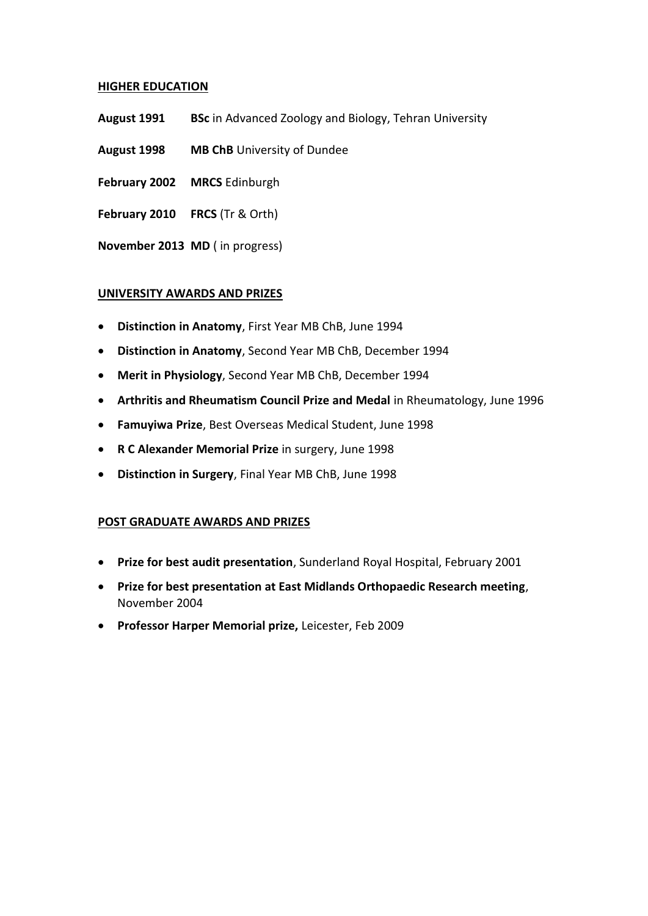# **HIGHER EDUCATION**

- **August 1991 BSc** in Advanced Zoology and Biology, Tehran University
- **August 1998 MB ChB** University of Dundee
- February 2002 MRCS Edinburgh
- **February 2010 FRCS** (Tr & Orth)

**November 2013 MD** ( in progress)

# **UNIVERSITY AWARDS AND PRIZES**

- **Distinction in Anatomy**, First Year MB ChB, June 1994
- **Distinction in Anatomy**, Second Year MB ChB, December 1994
- **Merit in Physiology**, Second Year MB ChB, December 1994
- **Arthritis and Rheumatism Council Prize and Medal** in Rheumatology, June 1996
- **Famuyiwa Prize**, Best Overseas Medical Student, June 1998
- **R C Alexander Memorial Prize** in surgery, June 1998
- **Distinction in Surgery**, Final Year MB ChB, June 1998

# **POST GRADUATE AWARDS AND PRIZES**

- **Prize for best audit presentation**, Sunderland Royal Hospital, February 2001
- **Prize for best presentation at East Midlands Orthopaedic Research meeting**, November 2004
- **Professor Harper Memorial prize,** Leicester, Feb 2009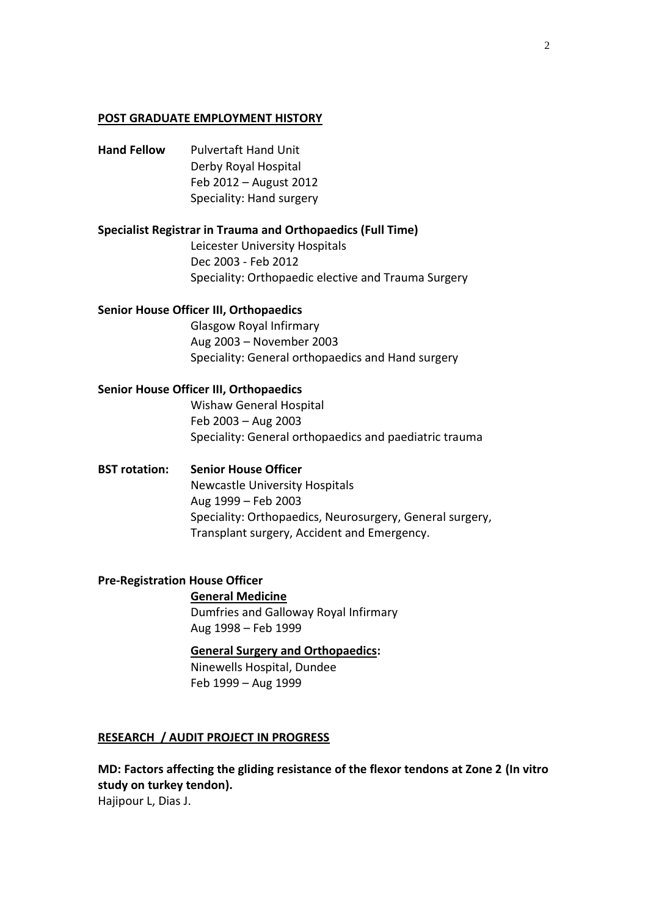#### **POST GRADUATE EMPLOYMENT HISTORY**

**Hand Fellow** Pulvertaft Hand Unit Derby Royal Hospital Feb 2012 – August 2012 Speciality: Hand surgery

#### **Specialist Registrar in Trauma and Orthopaedics (Full Time)**

Leicester University Hospitals Dec 2003 - Feb 2012 Speciality: Orthopaedic elective and Trauma Surgery

### **Senior House Officer III, Orthopaedics**

Glasgow Royal Infirmary Aug 2003 – November 2003 Speciality: General orthopaedics and Hand surgery

## **Senior House Officer III, Orthopaedics**

Wishaw General Hospital Feb 2003 – Aug 2003 Speciality: General orthopaedics and paediatric trauma

## **BST rotation: Senior House Officer**

Newcastle University Hospitals Aug 1999 – Feb 2003 Speciality: Orthopaedics, Neurosurgery, General surgery, Transplant surgery, Accident and Emergency.

#### **Pre-Registration House Officer**

**General Medicine** Dumfries and Galloway Royal Infirmary Aug 1998 – Feb 1999

#### **General Surgery and Orthopaedics:**

Ninewells Hospital, Dundee Feb 1999 – Aug 1999

#### **RESEARCH / AUDIT PROJECT IN PROGRESS**

# **MD: Factors affecting the gliding resistance of the flexor tendons at Zone 2 (In vitro study on turkey tendon).**

Hajipour L, Dias J.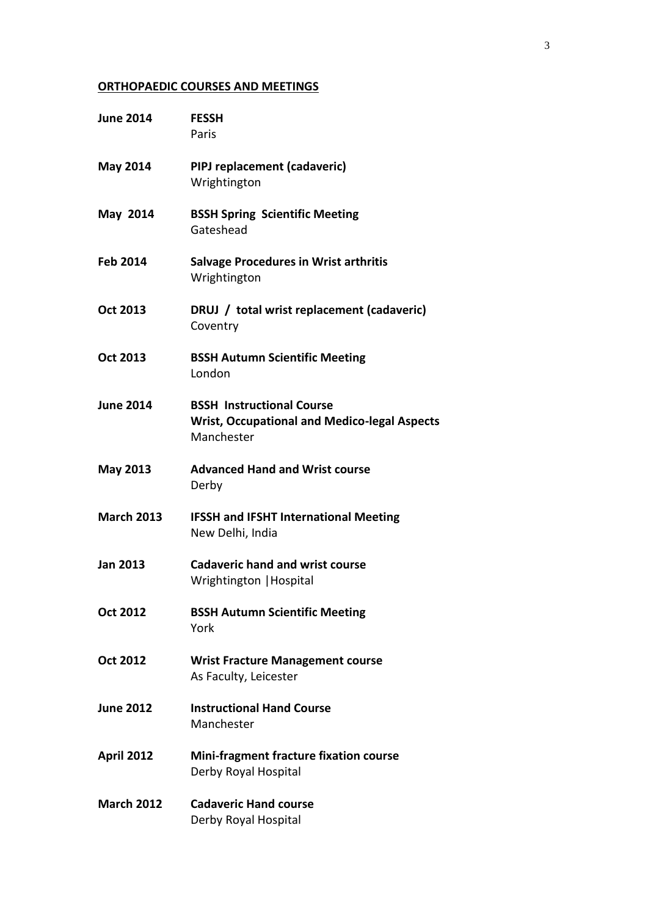# **ORTHOPAEDIC COURSES AND MEETINGS**

| <b>June 2014</b>  | <b>FESSH</b><br>Paris                                                                                 |  |
|-------------------|-------------------------------------------------------------------------------------------------------|--|
| <b>May 2014</b>   | PIPJ replacement (cadaveric)<br>Wrightington                                                          |  |
| May 2014          | <b>BSSH Spring Scientific Meeting</b><br>Gateshead                                                    |  |
| <b>Feb 2014</b>   | <b>Salvage Procedures in Wrist arthritis</b><br>Wrightington                                          |  |
| <b>Oct 2013</b>   | DRUJ / total wrist replacement (cadaveric)<br>Coventry                                                |  |
| Oct 2013          | <b>BSSH Autumn Scientific Meeting</b><br>London                                                       |  |
| <b>June 2014</b>  | <b>BSSH Instructional Course</b><br><b>Wrist, Occupational and Medico-legal Aspects</b><br>Manchester |  |
| <b>May 2013</b>   | <b>Advanced Hand and Wrist course</b><br>Derby                                                        |  |
| <b>March 2013</b> | <b>IFSSH and IFSHT International Meeting</b><br>New Delhi, India                                      |  |
| <b>Jan 2013</b>   | <b>Cadaveric hand and wrist course</b><br>Wrightington   Hospital                                     |  |
| <b>Oct 2012</b>   | <b>BSSH Autumn Scientific Meeting</b><br>York                                                         |  |
| <b>Oct 2012</b>   | <b>Wrist Fracture Management course</b><br>As Faculty, Leicester                                      |  |
| <b>June 2012</b>  | <b>Instructional Hand Course</b><br>Manchester                                                        |  |
| <b>April 2012</b> | <b>Mini-fragment fracture fixation course</b><br>Derby Royal Hospital                                 |  |
| <b>March 2012</b> | <b>Cadaveric Hand course</b><br>Derby Royal Hospital                                                  |  |